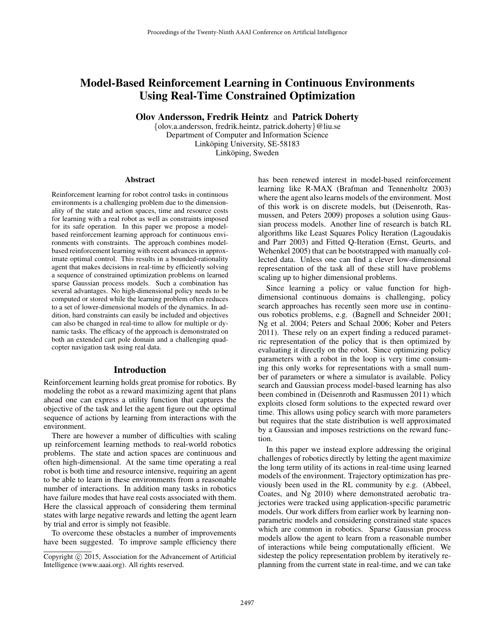# Model-Based Reinforcement Learning in Continuous Environments Using Real-Time Constrained Optimization

Olov Andersson, Fredrik Heintz and Patrick Doherty

{olov.a.andersson, fredrik.heintz, patrick.doherty}@liu.se Department of Computer and Information Science Linköping University, SE-58183 Linköping, Sweden

#### Abstract

Reinforcement learning for robot control tasks in continuous environments is a challenging problem due to the dimensionality of the state and action spaces, time and resource costs for learning with a real robot as well as constraints imposed for its safe operation. In this paper we propose a modelbased reinforcement learning approach for continuous environments with constraints. The approach combines modelbased reinforcement learning with recent advances in approximate optimal control. This results in a bounded-rationality agent that makes decisions in real-time by efficiently solving a sequence of constrained optimization problems on learned sparse Gaussian process models. Such a combination has several advantages. No high-dimensional policy needs to be computed or stored while the learning problem often reduces to a set of lower-dimensional models of the dynamics. In addition, hard constraints can easily be included and objectives can also be changed in real-time to allow for multiple or dynamic tasks. The efficacy of the approach is demonstrated on both an extended cart pole domain and a challenging quadcopter navigation task using real data.

#### Introduction

Reinforcement learning holds great promise for robotics. By modeling the robot as a reward maximizing agent that plans ahead one can express a utility function that captures the objective of the task and let the agent figure out the optimal sequence of actions by learning from interactions with the environment.

There are however a number of difficulties with scaling up reinforcement learning methods to real-world robotics problems. The state and action spaces are continuous and often high-dimensional. At the same time operating a real robot is both time and resource intensive, requiring an agent to be able to learn in these environments from a reasonable number of interactions. In addition many tasks in robotics have failure modes that have real costs associated with them. Here the classical approach of considering them terminal states with large negative rewards and letting the agent learn by trial and error is simply not feasible.

To overcome these obstacles a number of improvements have been suggested. To improve sample efficiency there has been renewed interest in model-based reinforcement learning like R-MAX (Brafman and Tennenholtz 2003) where the agent also learns models of the environment. Most of this work is on discrete models, but (Deisenroth, Rasmussen, and Peters 2009) proposes a solution using Gaussian process models. Another line of research is batch RL algorithms like Least Squares Policy Iteration (Lagoudakis and Parr 2003) and Fitted Q-Iteration (Ernst, Geurts, and Wehenkel 2005) that can be bootstrapped with manually collected data. Unless one can find a clever low-dimensional representation of the task all of these still have problems scaling up to higher dimensional problems.

Since learning a policy or value function for highdimensional continuous domains is challenging, policy search approaches has recently seen more use in continuous robotics problems, e.g. (Bagnell and Schneider 2001; Ng et al. 2004; Peters and Schaal 2006; Kober and Peters 2011). These rely on an expert finding a reduced parametric representation of the policy that is then optimized by evaluating it directly on the robot. Since optimizing policy parameters with a robot in the loop is very time consuming this only works for representations with a small number of parameters or where a simulator is available. Policy search and Gaussian process model-based learning has also been combined in (Deisenroth and Rasmussen 2011) which exploits closed form solutions to the expected reward over time. This allows using policy search with more parameters but requires that the state distribution is well approximated by a Gaussian and imposes restrictions on the reward function.

In this paper we instead explore addressing the original challenges of robotics directly by letting the agent maximize the long term utility of its actions in real-time using learned models of the environment. Trajectory optimization has previously been used in the RL community by e.g. (Abbeel, Coates, and Ng 2010) where demonstrated aerobatic trajectories were tracked using application-specific parametric models. Our work differs from earlier work by learning nonparametric models and considering constrained state spaces which are common in robotics. Sparse Gaussian process models allow the agent to learn from a reasonable number of interactions while being computationally efficient. We sidestep the policy representation problem by iteratively replanning from the current state in real-time, and we can take

Copyright (c) 2015, Association for the Advancement of Artificial Intelligence (www.aaai.org). All rights reserved.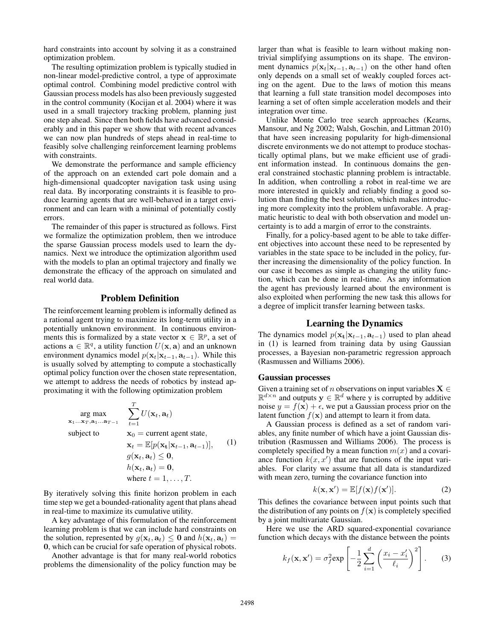hard constraints into account by solving it as a constrained optimization problem.

The resulting optimization problem is typically studied in non-linear model-predictive control, a type of approximate optimal control. Combining model predictive control with Gaussian process models has also been previously suggested in the control community (Kocijan et al. 2004) where it was used in a small trajectory tracking problem, planning just one step ahead. Since then both fields have advanced considerably and in this paper we show that with recent advances we can now plan hundreds of steps ahead in real-time to feasibly solve challenging reinforcement learning problems with constraints.

We demonstrate the performance and sample efficiency of the approach on an extended cart pole domain and a high-dimensional quadcopter navigation task using using real data. By incorporating constraints it is feasible to produce learning agents that are well-behaved in a target environment and can learn with a minimal of potentially costly errors.

The remainder of this paper is structured as follows. First we formalize the optimization problem, then we introduce the sparse Gaussian process models used to learn the dynamics. Next we introduce the optimization algorithm used with the models to plan an optimal trajectory and finally we demonstrate the efficacy of the approach on simulated and real world data.

# Problem Definition

The reinforcement learning problem is informally defined as a rational agent trying to maximize its long-term utility in a potentially unknown environment. In continuous environments this is formalized by a state vector  $x \in \mathbb{R}^p$ , a set of actions  $\mathbf{a} \in \mathbb{R}^q$ , a utility function  $U(\mathbf{x}, \mathbf{a})$  and an unknown environment dynamics model  $p(\mathbf{x}_t|\mathbf{x}_{t-1}, \mathbf{a}_{t-1})$ . While this is usually solved by attempting to compute a stochastically optimal policy function over the chosen state representation, we attempt to address the needs of robotics by instead approximating it with the following optimization problem

arg max  
\n
$$
\sum_{\mathbf{x}_1...\mathbf{x}_T,\mathbf{a}_1...\mathbf{a}_{T-1}}^T \sum_{t=1}^T U(\mathbf{x}_t, \mathbf{a}_t)
$$
\nsubject to  
\n
$$
\mathbf{x}_0 = \text{current agent state},
$$
\n
$$
\mathbf{x}_t = \mathbb{E}[p(\mathbf{x}_t|\mathbf{x}_{t-1}, \mathbf{a}_{t-1})], \quad (1)
$$
\n
$$
g(\mathbf{x}_t, \mathbf{a}_t) \leq \mathbf{0},
$$
\n
$$
h(\mathbf{x}_t, \mathbf{a}_t) = \mathbf{0},
$$
\nwhere  $t = 1, ..., T$ .

By iteratively solving this finite horizon problem in each time step we get a bounded-rationality agent that plans ahead in real-time to maximize its cumulative utility.

A key advantage of this formulation of the reinforcement learning problem is that we can include hard constraints on the solution, represented by  $g(\mathbf{x}_t, \mathbf{a}_t) \leq 0$  and  $h(\mathbf{x}_t, \mathbf{a}_t) =$ 0, which can be crucial for safe operation of physical robots.

Another advantage is that for many real-world robotics problems the dimensionality of the policy function may be larger than what is feasible to learn without making nontrivial simplifying assumptions on its shape. The environment dynamics  $p(\mathbf{x}_t|\mathbf{x}_{t-1}, \mathbf{a}_{t-1})$  on the other hand often only depends on a small set of weakly coupled forces acting on the agent. Due to the laws of motion this means that learning a full state transition model decomposes into learning a set of often simple acceleration models and their integration over time.

Unlike Monte Carlo tree search approaches (Kearns, Mansour, and Ng 2002; Walsh, Goschin, and Littman 2010) that have seen increasing popularity for high-dimensional discrete environments we do not attempt to produce stochastically optimal plans, but we make efficient use of gradient information instead. In continuous domains the general constrained stochastic planning problem is intractable. In addition, when controlling a robot in real-time we are more interested in quickly and reliably finding a good solution than finding the best solution, which makes introducing more complexity into the problem unfavorable. A pragmatic heuristic to deal with both observation and model uncertainty is to add a margin of error to the constraints.

Finally, for a policy-based agent to be able to take different objectives into account these need to be represented by variables in the state space to be included in the policy, further increasing the dimensionality of the policy function. In our case it becomes as simple as changing the utility function, which can be done in real-time. As any information the agent has previously learned about the environment is also exploited when performing the new task this allows for a degree of implicit transfer learning between tasks.

## Learning the Dynamics

The dynamics model  $p(\mathbf{x}_t|\mathbf{x}_{t-1}, \mathbf{a}_{t-1})$  used to plan ahead in (1) is learned from training data by using Gaussian processes, a Bayesian non-parametric regression approach (Rasmussen and Williams 2006).

#### Gaussian processes

Given a training set of n observations on input variables  $X \in$  $\mathbb{R}^{d \times n}$  and outputs  $y \in \mathbb{R}^d$  where y is corrupted by additive noise  $y = f(x) + \epsilon$ , we put a Gaussian process prior on the latent function  $f(\mathbf{x})$  and attempt to learn it from data.

A Gaussian process is defined as a set of random variables, any finite number of which have a joint Gaussian distribution (Rasmussen and Williams 2006). The process is completely specified by a mean function  $m(x)$  and a covariance function  $k(x, x')$  that are functions of the input variables. For clarity we assume that all data is standardized with mean zero, turning the covariance function into

$$
k(\mathbf{x}, \mathbf{x}') = \mathbb{E}[f(\mathbf{x})f(\mathbf{x}')].
$$
 (2)

This defines the covariance between input points such that the distribution of any points on  $f(\mathbf{x})$  is completely specified by a joint multivariate Gaussian.

Here we use the ARD squared-exponential covariance function which decays with the distance between the points

$$
k_f(\mathbf{x}, \mathbf{x}') = \sigma_f^2 \exp\left[-\frac{1}{2} \sum_{i=1}^d \left(\frac{x_i - x'_i}{\ell_i}\right)^2\right].
$$
 (3)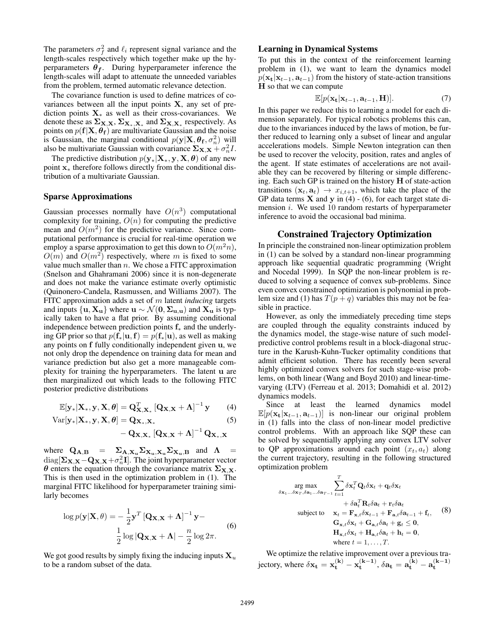The parameters  $\sigma_f^2$  and  $\ell_i$  represent signal variance and the length-scales respectively which together make up the hyperparameters  $\theta_f$ . During hyperparameter inference the length-scales will adapt to attenuate the unneeded variables from the problem, termed automatic relevance detection.

The covariance function is used to define matrices of covariances between all the input points  $X$ , any set of prediction points  $X_*$  as well as their cross-covariances. We denote these as  $\Sigma_{\mathbf{X},\mathbf{X}}, \Sigma_{\mathbf{X}_*,\mathbf{X}_*}$  and  $\Sigma_{\mathbf{X},\mathbf{X}_*}$  respectively. As points on  $p(\mathbf{f}|\mathbf{X}, \theta_{\mathbf{f}})$  are multivariate Gaussian and the noise is Gaussian, the marginal conditional  $p(\mathbf{y}|\mathbf{X}, \theta_{\mathbf{f}}, \sigma_n^2)$  will also be multivariate Gaussian with covariance  $\Sigma_{\mathbf{X},\mathbf{X}} + \sigma_n^2 I$ .

The predictive distribution  $p(\mathbf{y}_*|\mathbf{X}_*, \mathbf{y}, \mathbf{X}, \boldsymbol{\theta})$  of any new point x<sup>∗</sup> therefore follows directly from the conditional distribution of a multivariate Gaussian.

#### Sparse Approximations

Gaussian processes normally have  $O(n^3)$  computational complexity for training,  $O(n)$  for computing the predictive mean and  $O(m^2)$  for the predictive variance. Since computational performance is crucial for real-time operation we employ a sparse approximation to get this down to  $O(m^2n)$ ,  $O(m)$  and  $O(m^2)$  respectively, where m is fixed to some value much smaller than  $n$ . We chose a FITC approximation (Snelson and Ghahramani 2006) since it is non-degenerate and does not make the variance estimate overly optimistic (Quinonero-Candela, Rasmussen, and Williams 2007). The FITC approximation adds a set of m latent *inducing* targets and inputs  $\{u, X_u\}$  where  $u \sim \mathcal{N}(0, \Sigma_{u,u})$  and  $X_u$  is typically taken to have a flat prior. By assuming conditional independence between prediction points  $f_*$  and the underlying GP prior so that  $p(f_*|u,f) = p(f_*|u)$ , as well as making any points on f fully conditionally independent given u, we not only drop the dependence on training data for mean and variance prediction but also get a more manageable complexity for training the hyperparameters. The latent u are then marginalized out which leads to the following FITC posterior predictive distributions

$$
\mathbb{E}[\mathbf{y}_{*}|\mathbf{X}_{*}, \mathbf{y}, \mathbf{X}, \boldsymbol{\theta}] = \mathbf{Q}_{\mathbf{X}, \mathbf{X}_{*}}^{T} [\mathbf{Q}_{\mathbf{X}, \mathbf{X}} + \boldsymbol{\Lambda}]^{-1} \mathbf{y}
$$
(4)

$$
Var[\mathbf{y}_{*}|\mathbf{X}_{*}, \mathbf{y}, \mathbf{X}, \boldsymbol{\theta}] = \mathbf{Q}_{\mathbf{X}_{*}, \mathbf{X}_{*}} \tag{5}
$$

$$
-\mathbf{Q}_{\mathbf{X},\mathbf{X}_{*}}\left[\mathbf{Q}_{\mathbf{X},\mathbf{X}}+\mathbf{\Lambda}\right]^{-1}\mathbf{Q}_{\mathbf{X}_{*},\mathbf{X}}
$$

where  $Q_{A,B} = \sum_{A,X_u} \sum_{X_u,X_u} \sum_{X_u,B}$  and  $\Lambda =$  $\text{diag}[\boldsymbol{\Sigma}_{\mathbf{X},\mathbf{X}}\!-\!\mathbf{Q}_{\mathbf{X},\mathbf{X}}\!+\!\sigma_n^2\mathbf{I}].$  The joint hyperparameter vector θ enters the equation through the covariance matrix  $\Sigma_{\mathbf{X}}$ , This is then used in the optimization problem in (1). The marginal FITC likelihood for hyperparameter training similarly becomes

$$
\log p(\mathbf{y}|\mathbf{X}, \theta) = -\frac{1}{2}\mathbf{y}^T [\mathbf{Q}_{\mathbf{X}, \mathbf{X}} + \mathbf{\Lambda}]^{-1} \mathbf{y} -
$$
  

$$
\frac{1}{2} \log |\mathbf{Q}_{\mathbf{X}, \mathbf{X}} + \mathbf{\Lambda}| - \frac{n}{2} \log 2\pi.
$$
 (6)

We got good results by simply fixing the inducing inputs  $X_u$ to be a random subset of the data.

#### Learning in Dynamical Systems

To put this in the context of the reinforcement learning problem in (1), we want to learn the dynamics model  $p(\mathbf{x}_t|\mathbf{x}_{t-1}, \mathbf{a}_{t-1})$  from the history of state-action transitions H so that we can compute

$$
\mathbb{E}[p(\mathbf{x_t}|\mathbf{x}_{t-1},\mathbf{a}_{t-1},\mathbf{H})]. \tag{7}
$$

In this paper we reduce this to learning a model for each dimension separately. For typical robotics problems this can, due to the invariances induced by the laws of motion, be further reduced to learning only a subset of linear and angular accelerations models. Simple Newton integration can then be used to recover the velocity, position, rates and angles of the agent. If state estimates of accelerations are not available they can be recovered by filtering or simple differencing. Each such GP is trained on the history H of state-action transitions  $(\mathbf{x}_t, \mathbf{a}_t) \rightarrow x_{i,t+1}$ , which take the place of the GP data terms  $X$  and  $y$  in (4) - (6), for each target state dimension  $i$ . We used 10 random restarts of hyperparameter inference to avoid the occasional bad minima.

## Constrained Trajectory Optimization

In principle the constrained non-linear optimization problem in (1) can be solved by a standard non-linear programming approach like sequential quadratic programming (Wright and Nocedal 1999). In SQP the non-linear problem is reduced to solving a sequence of convex sub-problems. Since even convex constrained optimization is polynomial in problem size and (1) has  $T(p + q)$  variables this may not be feasible in practice.

However, as only the immediately preceding time steps are coupled through the equality constraints induced by the dynamics model, the stage-wise nature of such modelpredictive control problems result in a block-diagonal structure in the Karush-Kuhn-Tucker optimality conditions that admit efficient solution. There has recently been several highly optimized convex solvers for such stage-wise problems, on both linear (Wang and Boyd 2010) and linear-timevarying (LTV) (Ferreau et al. 2013; Domahidi et al. 2012) dynamics models.

Since at least the learned dynamics model  $\mathbb{E}[p(\mathbf{x_t}|\mathbf{x}_{t-1}, \mathbf{a}_{t-1})]$  is non-linear our original problem in (1) falls into the class of non-linear model predictive control problems. With an approach like SQP these can be solved by sequentially applying any convex LTV solver to QP approximations around each point  $(x_t, a_t)$  along the current trajectory, resulting in the following structured optimization problem

$$
\arg \max_{\delta \mathbf{x}_1...\delta \mathbf{x}_T,\delta \mathbf{a}_1...\delta \mathbf{a}_{T-1}} \sum_{t=1}^T \delta \mathbf{x}_t^T \mathbf{Q}_t \delta \mathbf{x}_t + \mathbf{q}_t \delta \mathbf{x}_t \n+ \delta \mathbf{a}_t^T \mathbf{R}_t \delta \mathbf{a}_t + \mathbf{r}_t \delta \mathbf{a}_t \nsubject to 
$$
\mathbf{x}_t = \mathbf{F}_{\mathbf{x},t} \delta \mathbf{x}_{t-1} + \mathbf{F}_{\mathbf{a},t} \delta \mathbf{a}_{t-1} + \mathbf{f}_t, \quad (8)
$$
\n
$$
\mathbf{G}_{\mathbf{x},t} \delta \mathbf{x}_t + \mathbf{G}_{\mathbf{a},t} \delta \mathbf{a}_t + \mathbf{g}_t \leq \mathbf{0}, \n\mathbf{H}_{\mathbf{x},t} \delta \mathbf{x}_t + \mathbf{H}_{\mathbf{a},t} \delta \mathbf{a}_t + \mathbf{h}_t = \mathbf{0}, \nwhere  $t = 1, ..., T$ .
$$
$$

We optimize the relative improvement over a previous trajectory, where  $\delta \mathbf{x_t} = \mathbf{x_t^{(k)}} - \mathbf{x_t^{(k-1)}}$ ,  $\delta \mathbf{a_t} = \mathbf{a_t^{(k)}} - \mathbf{a_t^{(k-1)}}$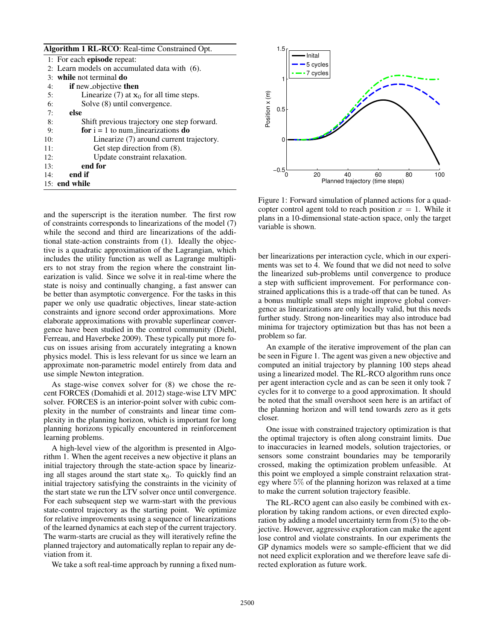| <b>Algorithm 1 RL-RCO:</b> Real-time Constrained Opt. |                                               |
|-------------------------------------------------------|-----------------------------------------------|
|                                                       | 1: For each <b>episode</b> repeat:            |
|                                                       | 2: Learn models on accumulated data with (6). |
|                                                       | $3:$ while not terminal do                    |
| 4:                                                    | if new objective then                         |
| 5:                                                    | Linearize (7) at $x_0$ for all time steps.    |
| 6:                                                    | Solve (8) until convergence.                  |
| 7:                                                    | else                                          |
| 8:                                                    | Shift previous trajectory one step forward.   |
| 9:                                                    | for $i = 1$ to num linearizations do          |
| 10:                                                   | Linearize (7) around current trajectory.      |
| 11:                                                   | Get step direction from (8).                  |
| 12:                                                   | Update constraint relaxation.                 |
| 13:                                                   | end for                                       |
| 14:                                                   | end if                                        |
|                                                       | $15:$ end while                               |
|                                                       |                                               |

and the superscript is the iteration number. The first row of constraints corresponds to linearizations of the model (7) while the second and third are linearizations of the additional state-action constraints from (1). Ideally the objective is a quadratic approximation of the Lagrangian, which includes the utility function as well as Lagrange multipliers to not stray from the region where the constraint linearization is valid. Since we solve it in real-time where the state is noisy and continually changing, a fast answer can be better than asymptotic convergence. For the tasks in this paper we only use quadratic objectives, linear state-action constraints and ignore second order approximations. More elaborate approximations with provable superlinear convergence have been studied in the control community (Diehl, Ferreau, and Haverbeke 2009). These typically put more focus on issues arising from accurately integrating a known physics model. This is less relevant for us since we learn an approximate non-parametric model entirely from data and use simple Newton integration.

As stage-wise convex solver for (8) we chose the recent FORCES (Domahidi et al. 2012) stage-wise LTV MPC solver. FORCES is an interior-point solver with cubic complexity in the number of constraints and linear time complexity in the planning horizon, which is important for long planning horizons typically encountered in reinforcement learning problems.

A high-level view of the algorithm is presented in Algorithm 1. When the agent receives a new objective it plans an initial trajectory through the state-action space by linearizing all stages around the start state  $x_0$ . To quickly find an initial trajectory satisfying the constraints in the vicinity of the start state we run the LTV solver once until convergence. For each subsequent step we warm-start with the previous state-control trajectory as the starting point. We optimize for relative improvements using a sequence of linearizations of the learned dynamics at each step of the current trajectory. The warm-starts are crucial as they will iteratively refine the planned trajectory and automatically replan to repair any deviation from it.

We take a soft real-time approach by running a fixed num-



Figure 1: Forward simulation of planned actions for a quadcopter control agent told to reach position  $x = 1$ . While it plans in a 10-dimensional state-action space, only the target variable is shown.

ber linearizations per interaction cycle, which in our experiments was set to 4. We found that we did not need to solve the linearized sub-problems until convergence to produce a step with sufficient improvement. For performance constrained applications this is a trade-off that can be tuned. As a bonus multiple small steps might improve global convergence as linearizations are only locally valid, but this needs further study. Strong non-linearities may also introduce bad minima for trajectory optimization but thas has not been a problem so far.

An example of the iterative improvement of the plan can be seen in Figure 1. The agent was given a new objective and computed an initial trajectory by planning 100 steps ahead using a linearized model. The RL-RCO algorithm runs once per agent interaction cycle and as can be seen it only took 7 cycles for it to converge to a good approximation. It should be noted that the small overshoot seen here is an artifact of the planning horizon and will tend towards zero as it gets closer.

One issue with constrained trajectory optimization is that the optimal trajectory is often along constraint limits. Due to inaccuracies in learned models, solution trajectories, or sensors some constraint boundaries may be temporarily crossed, making the optimization problem unfeasible. At this point we employed a simple constraint relaxation strategy where 5% of the planning horizon was relaxed at a time to make the current solution trajectory feasible.

The RL-RCO agent can also easily be combined with exploration by taking random actions, or even directed exploration by adding a model uncertainty term from (5) to the objective. However, aggressive exploration can make the agent lose control and violate constraints. In our experiments the GP dynamics models were so sample-efficient that we did not need explicit exploration and we therefore leave safe directed exploration as future work.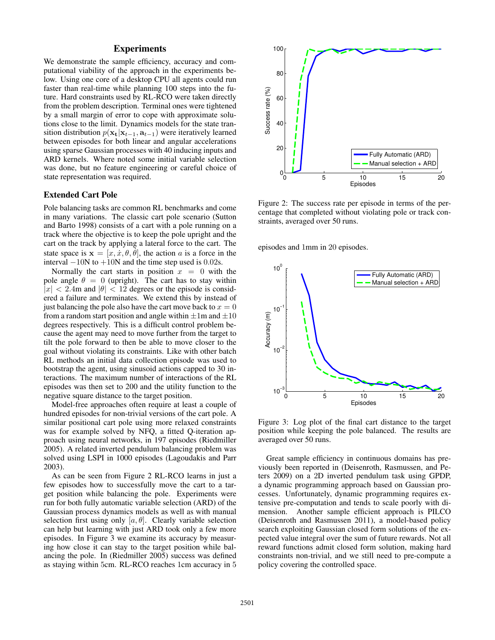# **Experiments**

We demonstrate the sample efficiency, accuracy and computational viability of the approach in the experiments below. Using one core of a desktop CPU all agents could run faster than real-time while planning 100 steps into the future. Hard constraints used by RL-RCO were taken directly from the problem description. Terminal ones were tightened by a small margin of error to cope with approximate solutions close to the limit. Dynamics models for the state transition distribution  $p(\mathbf{x}_t|\mathbf{x}_{t-1}, \mathbf{a}_{t-1})$  were iteratively learned between episodes for both linear and angular accelerations using sparse Gaussian processes with 40 inducing inputs and ARD kernels. Where noted some initial variable selection was done, but no feature engineering or careful choice of state representation was required.

## Extended Cart Pole

Pole balancing tasks are common RL benchmarks and come in many variations. The classic cart pole scenario (Sutton and Barto 1998) consists of a cart with a pole running on a track where the objective is to keep the pole upright and the cart on the track by applying a lateral force to the cart. The state space is  $\mathbf{x} = [x, \dot{x}, \theta, \dot{\theta}]$ , the action a is a force in the interval  $-10N$  to  $+10N$  and the time step used is 0.02s.

Normally the cart starts in position  $x = 0$  with the pole angle  $\theta = 0$  (upright). The cart has to stay within  $|x| < 2.4$ m and  $|\theta| < 12$  degrees or the episode is considered a failure and terminates. We extend this by instead of just balancing the pole also have the cart move back to  $x = 0$ from a random start position and angle within  $\pm 1$ m and  $\pm 10$ degrees respectively. This is a difficult control problem because the agent may need to move further from the target to tilt the pole forward to then be able to move closer to the goal without violating its constraints. Like with other batch RL methods an initial data collection episode was used to bootstrap the agent, using sinusoid actions capped to 30 interactions. The maximum number of interactions of the RL episodes was then set to 200 and the utility function to the negative square distance to the target position.

Model-free approaches often require at least a couple of hundred episodes for non-trivial versions of the cart pole. A similar positional cart pole using more relaxed constraints was for example solved by NFQ, a fitted Q-iteration approach using neural networks, in 197 episodes (Riedmiller 2005). A related inverted pendulum balancing problem was solved using LSPI in 1000 episodes (Lagoudakis and Parr 2003).

As can be seen from Figure 2 RL-RCO learns in just a few episodes how to successfully move the cart to a target position while balancing the pole. Experiments were run for both fully automatic variable selection (ARD) of the Gaussian process dynamics models as well as with manual selection first using only  $[a, \theta]$ . Clearly variable selection can help but learning with just ARD took only a few more episodes. In Figure 3 we examine its accuracy by measuring how close it can stay to the target position while balancing the pole. In (Riedmiller 2005) success was defined as staying within 5cm. RL-RCO reaches 1cm accuracy in 5



Figure 2: The success rate per episode in terms of the percentage that completed without violating pole or track constraints, averaged over 50 runs.

episodes and 1mm in 20 episodes.



Figure 3: Log plot of the final cart distance to the target position while keeping the pole balanced. The results are averaged over 50 runs.

Great sample efficiency in continuous domains has previously been reported in (Deisenroth, Rasmussen, and Peters 2009) on a 2D inverted pendulum task using GPDP, a dynamic programming approach based on Gaussian processes. Unfortunately, dynamic programming requires extensive pre-computation and tends to scale poorly with dimension. Another sample efficient approach is PILCO (Deisenroth and Rasmussen 2011), a model-based policy search exploiting Gaussian closed form solutions of the expected value integral over the sum of future rewards. Not all reward functions admit closed form solution, making hard constraints non-trivial, and we still need to pre-compute a policy covering the controlled space.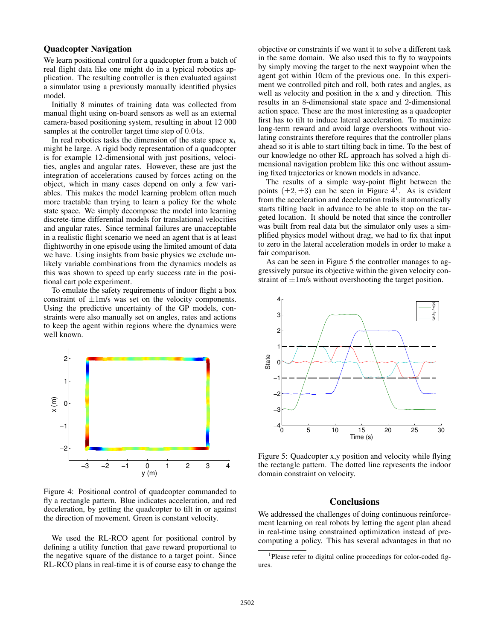## Quadcopter Navigation

We learn positional control for a quadcopter from a batch of real flight data like one might do in a typical robotics application. The resulting controller is then evaluated against a simulator using a previously manually identified physics model.

Initially 8 minutes of training data was collected from manual flight using on-board sensors as well as an external camera-based positioning system, resulting in about 12 000 samples at the controller target time step of 0.04s.

In real robotics tasks the dimension of the state space  $x_t$ might be large. A rigid body representation of a quadcopter is for example 12-dimensional with just positions, velocities, angles and angular rates. However, these are just the integration of accelerations caused by forces acting on the object, which in many cases depend on only a few variables. This makes the model learning problem often much more tractable than trying to learn a policy for the whole state space. We simply decompose the model into learning discrete-time differential models for translational velocities and angular rates. Since terminal failures are unacceptable in a realistic flight scenario we need an agent that is at least flightworthy in one episode using the limited amount of data we have. Using insights from basic physics we exclude unlikely variable combinations from the dynamics models as this was shown to speed up early success rate in the positional cart pole experiment.

To emulate the safety requirements of indoor flight a box constraint of  $\pm 1$ m/s was set on the velocity components. Using the predictive uncertainty of the GP models, constraints were also manually set on angles, rates and actions to keep the agent within regions where the dynamics were well known.



Figure 4: Positional control of quadcopter commanded to fly a rectangle pattern. Blue indicates acceleration, and red deceleration, by getting the quadcopter to tilt in or against the direction of movement. Green is constant velocity.

We used the RL-RCO agent for positional control by defining a utility function that gave reward proportional to the negative square of the distance to a target point. Since RL-RCO plans in real-time it is of course easy to change the

objective or constraints if we want it to solve a different task in the same domain. We also used this to fly to waypoints by simply moving the target to the next waypoint when the agent got within 10cm of the previous one. In this experiment we controlled pitch and roll, both rates and angles, as well as velocity and position in the x and y direction. This results in an 8-dimensional state space and 2-dimensional action space. These are the most interesting as a quadcopter first has to tilt to induce lateral acceleration. To maximize long-term reward and avoid large overshoots without violating constraints therefore requires that the controller plans ahead so it is able to start tilting back in time. To the best of our knowledge no other RL approach has solved a high dimensional navigation problem like this one without assuming fixed trajectories or known models in advance.

The results of a simple way-point flight between the points  $(\pm 2, \pm 3)$  can be seen in Figure 4<sup>1</sup>. As is evident from the acceleration and deceleration trails it automatically starts tilting back in advance to be able to stop on the targeted location. It should be noted that since the controller was built from real data but the simulator only uses a simplified physics model without drag, we had to fix that input to zero in the lateral acceleration models in order to make a fair comparison.

As can be seen in Figure 5 the controller manages to aggressively pursue its objective within the given velocity constraint of  $\pm 1$ m/s without overshooting the target position.



Figure 5: Quadcopter x,y position and velocity while flying the rectangle pattern. The dotted line represents the indoor domain constraint on velocity.

#### **Conclusions**

We addressed the challenges of doing continuous reinforcement learning on real robots by letting the agent plan ahead in real-time using constrained optimization instead of precomputing a policy. This has several advantages in that no

<sup>&</sup>lt;sup>1</sup>Please refer to digital online proceedings for color-coded figures.